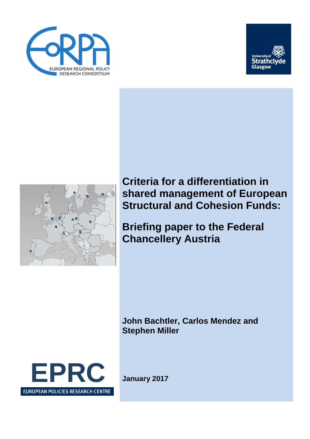





**Criteria for a differentiation in shared management of European Structural and Cohesion Funds:** 

**Briefing paper to the Federal Chancellery Austria**

**John Bachtler, Carlos Mendez and Stephen Miller**

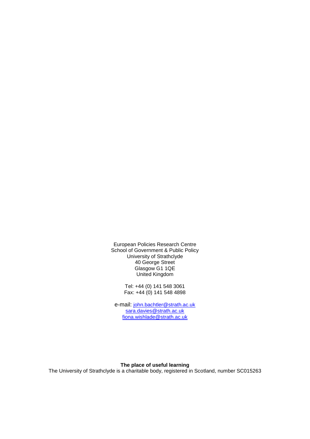European Policies Research Centre School of Government & Public Policy University of Strathclyde 40 George Street Glasgow G1 1QE United Kingdom

> Tel: +44 (0) 141 548 3061 Fax: +44 (0) 141 548 4898

e-mail: [john.bachtler@strath.ac.uk](mailto:john.bachtler@strath.ac.uk) sara.davies@strath.ac.uk [fiona.wishlade@strath.ac.uk](mailto:fiona.wishlade@strath.ac.uk)

#### **The place of useful learning**

The University of Strathclyde is a charitable body, registered in Scotland, number SC015263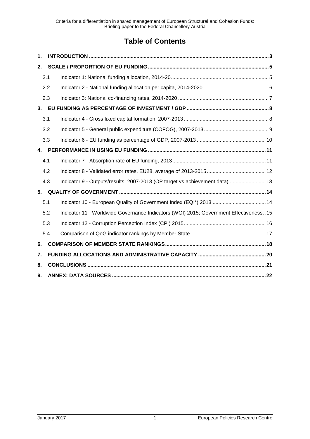# **Table of Contents**

| 1. |     |                                                                                       |  |  |  |
|----|-----|---------------------------------------------------------------------------------------|--|--|--|
| 2. |     |                                                                                       |  |  |  |
|    | 2.1 |                                                                                       |  |  |  |
|    | 2.2 |                                                                                       |  |  |  |
|    | 2.3 |                                                                                       |  |  |  |
| 3. |     |                                                                                       |  |  |  |
|    | 3.1 |                                                                                       |  |  |  |
|    | 3.2 |                                                                                       |  |  |  |
|    | 3.3 |                                                                                       |  |  |  |
| 4. |     |                                                                                       |  |  |  |
|    | 4.1 |                                                                                       |  |  |  |
|    | 4.2 |                                                                                       |  |  |  |
|    | 4.3 | Indicator 9 - Outputs/results, 2007-2013 (OP target vs achievement data)  13          |  |  |  |
| 5. |     |                                                                                       |  |  |  |
|    | 5.1 | Indicator 10 - European Quality of Government Index (EQI*) 2013  14                   |  |  |  |
|    | 5.2 | Indicator 11 - Worldwide Governance Indicators (WGI) 2015; Government Effectiveness15 |  |  |  |
|    | 5.3 |                                                                                       |  |  |  |
|    | 5.4 |                                                                                       |  |  |  |
| 6. |     |                                                                                       |  |  |  |
| 7. |     |                                                                                       |  |  |  |
| 8. |     |                                                                                       |  |  |  |
| 9. |     |                                                                                       |  |  |  |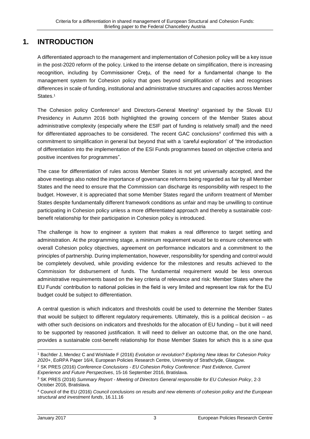## <span id="page-4-0"></span>**1. INTRODUCTION**

A differentiated approach to the management and implementation of Cohesion policy will be a key issue in the post-2020 reform of the policy. Linked to the intense debate on simplification, there is increasing recognition, including by Commissioner Creţu, of the need for a fundamental change to the management system for Cohesion policy that goes beyond simplification of rules and recognises differences in scale of funding, institutional and administrative structures and capacities across Member States.<sup>1</sup>

The Cohesion policy Conference<sup>2</sup> and Directors-General Meeting<sup>3</sup> organised by the Slovak EU Presidency in Autumn 2016 both highlighted the growing concern of the Member States about administrative complexity (especially where the ESIF part of funding is relatively small) and the need for differentiated approaches to be considered. The recent GAC conclusions<sup>4</sup> confirmed this with a commitment to simplification in general but beyond that with a 'careful exploration' of "the introduction of differentiation into the implementation of the ESI Funds programmes based on objective criteria and positive incentives for programmes".

The case for differentiation of rules across Member States is not yet universally accepted, and the above meetings also noted the importance of governance reforms being regarded as fair by all Member States and the need to ensure that the Commission can discharge its responsibility with respect to the budget. However, it is appreciated that some Member States regard the uniform treatment of Member States despite fundamentally different framework conditions as unfair and may be unwilling to continue participating in Cohesion policy unless a more differentiated approach and thereby a sustainable costbenefit relationship for their participation in Cohesion policy is introduced.

The challenge is how to engineer a system that makes a real difference to target setting and administration. At the programming stage, a minimum requirement would be to ensure coherence with overall Cohesion policy objectives, agreement on performance indicators and a commitment to the principles of partnership. During implementation, however, responsibility for spending and control would be completely devolved, while providing evidence for the milestones and results achieved to the Commission for disbursement of funds. The fundamental requirement would be less onerous administrative requirements based on the key criteria of relevance and risk: Member States where the EU Funds' contribution to national policies in the field is very limited and represent low risk for the EU budget could be subject to differentiation.

A central question is which indicators and thresholds could be used to determine the Member States that would be subject to different regulatory requirements. Ultimately, this is a political decision – as with other such decisions on indicators and thresholds for the allocation of EU funding – but it will need to be supported by reasoned justification. It will need to deliver an outcome that, on the one hand, provides a sustainable cost-benefit relationship for those Member States for which this is a *sine qua* 

<sup>1</sup> <sup>1</sup> Bachtler J, Mendez C and Wishlade F (2016) *Evolution or revolution? Exploring New Ideas for Cohesion Policy 2020+*, EoRPA Paper 16/4, European Policies Research Centre, University of Strathclyde, Glasgow.

<sup>2</sup> SK PRES (2016) *Conference Conclusions - EU Cohesion Policy Conference: Past Evidence, Current Experience and Future Perspectives*, 15-16 September 2016, Bratislava.

<sup>3</sup> SK PRES (2016) *Summary Report - Meeting of Directors General responsible for EU Cohesion Policy*, 2-3 October 2016, Bratislava.

<sup>4</sup> Council of the EU (2016) *Council conclusions on results and new elements of cohesion policy and the European structural and investment funds*, 16.11.16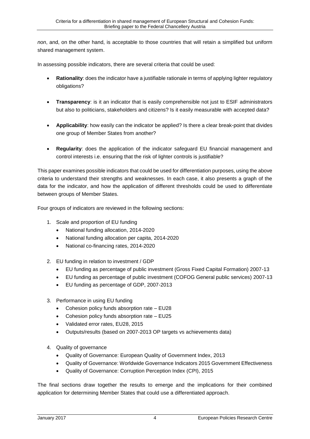*non*, and, on the other hand, is acceptable to those countries that will retain a simplified but uniform shared management system.

In assessing possible indicators, there are several criteria that could be used:

- **Rationality**: does the indicator have a justifiable rationale in terms of applying lighter regulatory obligations?
- **Transparency**: is it an indicator that is easily comprehensible not just to ESIF administrators but also to politicians, stakeholders and citizens? Is it easily measurable with accepted data?
- **Applicability**: how easily can the indicator be applied? Is there a clear break-point that divides one group of Member States from another?
- **Regularity**: does the application of the indicator safeguard EU financial management and control interests i.e. ensuring that the risk of lighter controls is justifiable?

This paper examines possible indicators that could be used for differentiation purposes, using the above criteria to understand their strengths and weaknesses. In each case, it also presents a graph of the data for the indicator, and how the application of different thresholds could be used to differentiate between groups of Member States.

Four groups of indicators are reviewed in the following sections:

- 1. Scale and proportion of EU funding
	- National funding allocation, 2014-2020
	- National funding allocation per capita, 2014-2020
	- National co-financing rates, 2014-2020
- 2. EU funding in relation to investment / GDP
	- EU funding as percentage of public investment (Gross Fixed Capital Formation) 2007-13
	- EU funding as percentage of public investment (COFOG General public services) 2007-13
	- EU funding as percentage of GDP, 2007-2013
- 3. Performance in using EU funding
	- Cohesion policy funds absorption rate EU28
	- Cohesion policy funds absorption rate EU25
	- Validated error rates, EU28, 2015
	- Outputs/results (based on 2007-2013 OP targets vs achievements data)
- 4. Quality of governance
	- Quality of Governance: European Quality of Government Index, 2013
	- Quality of Governance: Worldwide Governance Indicators 2015 Government Effectiveness
	- Quality of Governance: Corruption Perception Index (CPI), 2015

The final sections draw together the results to emerge and the implications for their combined application for determining Member States that could use a differentiated approach.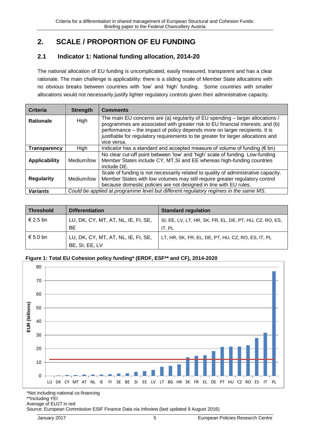## <span id="page-6-0"></span>**2. SCALE / PROPORTION OF EU FUNDING**

## <span id="page-6-1"></span>**2.1 Indicator 1: National funding allocation, 2014-20**

The national allocation of EU funding is uncomplicated, easily measured, transparent and has a clear rationale. The main challenge is applicability: there is a sliding scale of Member State allocations with no obvious breaks between countries with 'low' and 'high' funding. Some countries with smaller allocations would not necessarily justify lighter regulatory controls given their administrative capacity.

| Criteria             | <b>Strength</b> | <b>Comments</b>                                                                                                                                                                                                                        |
|----------------------|-----------------|----------------------------------------------------------------------------------------------------------------------------------------------------------------------------------------------------------------------------------------|
| <b>Rationale</b>     | High            | The main EU concerns are (a) regularity of EU spending - larger allocations /<br>programmes are associated with greater risk to EU financial interests; and (b)                                                                        |
|                      |                 | performance - the impact of policy depends more on larger recipients. It is<br>justifiable for regulatory requirements to be greater for larger allocations and<br>vice versa.                                                         |
| <b>Transparency</b>  | High            | Indicator has a standard and accepted measure of volume of funding $(6 \text{ bn})$                                                                                                                                                    |
| <b>Applicability</b> | Medium/low      | No clear cut-off point between 'low' and 'high' scale of funding. Low-funding<br>Member States include CY, MT, SI and EE whereas high-funding countries<br>include DE.                                                                 |
| <b>Regularity</b>    | Medium/low      | Scale of funding is not necessarily related to quality of administrative capacity.<br>Member States with low volumes may still require greater regulatory control<br>because domestic policies are not designed in line with EU rules. |
| <b>Variants</b>      |                 | Could be applied at programme level but different regulatory regimes in the same MS.                                                                                                                                                   |

| <b>Threshold</b> | <b>Differentiation</b>                                | <b>Standard regulation</b>                                        |
|------------------|-------------------------------------------------------|-------------------------------------------------------------------|
| € 2.5 bn         | LU, DK, CY, MT, AT, NL, IE, FI, SE,<br>BE             | SI, EE, LV, LT, HR, SK, FR, EL, DE, PT, HU, CZ, RO, ES,<br>IT. PL |
| € 5.0 bn         | LU, DK, CY, MT, AT, NL, IE, FI, SE,<br>BE, SI, EE, LV | LT, HR, SK, FR, EL, DE, PT, HU, CZ, RO, ES, IT, PL                |

#### **Figure 1: Total EU Cohesion policy funding\* (ERDF, ESF\*\* and CF), 2014-2020**



\*Not including national co-financing

\*\*Including YEI Average of EU27 in red

Source: European Commission ESIF Finance Data via Infoview (last updated 9 August 2016)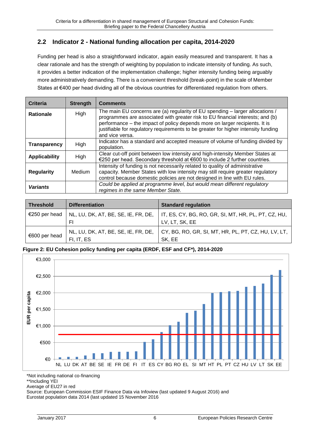## <span id="page-7-0"></span>**2.2 Indicator 2 - National funding allocation per capita, 2014-2020**

Funding per head is also a straightforward indicator, again easily measured and transparent. It has a clear rationale and has the strength of weighting by population to indicate intensity of funding. As such, it provides a better indication of the implementation challenge; higher intensity funding being arguably more administratively demanding. There is a convenient threshold (break-point) in the scale of Member States at €400 per head dividing all of the obvious countries for differentiated regulation from others.

| Criteria                 | <b>Strength</b> | <b>Comments</b>                                                                                                                                                                                                                              |
|--------------------------|-----------------|----------------------------------------------------------------------------------------------------------------------------------------------------------------------------------------------------------------------------------------------|
| High<br><b>Rationale</b> |                 | The main EU concerns are (a) regularity of EU spending - larger allocations /<br>programmes are associated with greater risk to EU financial interests; and (b)                                                                              |
|                          |                 | performance - the impact of policy depends more on larger recipients. It is<br>justifiable for regulatory requirements to be greater for higher intensity funding<br>and vice versa.                                                         |
| <b>Transparency</b>      | High            | Indicator has a standard and accepted measure of volume of funding divided by<br>population.                                                                                                                                                 |
| <b>Applicability</b>     | High            | Clear cut-off point between low intensity and high-intensity Member States at<br>€250 per head. Secondary threshold at €600 to include 2 further countries.                                                                                  |
| <b>Regularity</b>        | Medium          | Intensity of funding is not necessarily related to quality of administrative<br>capacity. Member States with low intensity may still require greater regulatory<br>control because domestic policies are not designed in line with EU rules. |
| <b>Variants</b>          |                 | Could be applied at programme level, but would mean different regulatory<br>regimes in the same Member State.                                                                                                                                |

| <b>Threshold</b> | <b>Differentiation</b>              | <b>Standard regulation</b>                                                              |
|------------------|-------------------------------------|-----------------------------------------------------------------------------------------|
| €250 per head    |                                     | NL, LU, DK, AT, BE, SE, IE, FR, DE, IT, ES, CY, BG, RO, GR, SI, MT, HR, PL, PT, CZ, HU, |
|                  | FI                                  | LV, LT, SK, EE                                                                          |
| €600 per head    | NL, LU, DK, AT, BE, SE, IE, FR, DE, | CY, BG, RO, GR, SI, MT, HR, PL, PT, CZ, HU, LV, LT,                                     |
|                  | FI, IT, ES                          | SK, EE                                                                                  |

#### **Figure 2: EU Cohesion policy funding per capita (ERDF, ESF and CF\*), 2014-2020**



\*Not including national co-financing

\*\*Including YEI

Average of EU27 in red

Source: European Commission ESIF Finance Data via Infoview (last updated 9 August 2016) and Eurostat population data 2014 (last updated 15 November 2016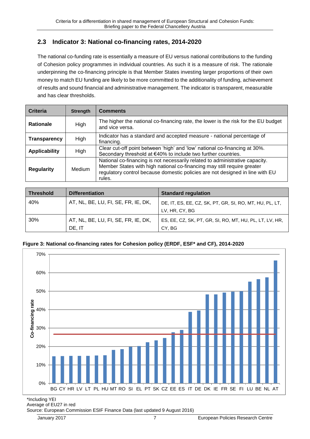### <span id="page-8-0"></span>**2.3 Indicator 3: National co-financing rates, 2014-2020**

The national co-funding rate is essentially a measure of EU versus national contributions to the funding of Cohesion policy programmes in individual countries. As such it is a measure of risk. The rationale underpinning the co-financing principle is that Member States investing larger proportions of their own money to match EU funding are likely to be more committed to the additionality of funding, achievement of results and sound financial and administrative management. The indicator is transparent, measurable and has clear thresholds.

| Criteria             | <b>Strength</b> | <b>Comments</b>                                                                                                                                                                                                                                    |
|----------------------|-----------------|----------------------------------------------------------------------------------------------------------------------------------------------------------------------------------------------------------------------------------------------------|
| <b>Rationale</b>     | High            | The higher the national co-financing rate, the lower is the risk for the EU budget<br>and vice versa.                                                                                                                                              |
| Transparency         | High            | Indicator has a standard and accepted measure - national percentage of<br>financing.                                                                                                                                                               |
| <b>Applicability</b> | High            | Clear cut-off point between 'high' and 'low' national co-financing at 30%.<br>Secondary threshold at €40% to include two further countries.                                                                                                        |
| <b>Regularity</b>    | Medium          | National co-financing is not necessarily related to administrative capacity.<br>Member States with high national co-financing may still require greater<br>regulatory control because domestic policies are not designed in line with EU<br>rules. |

| <b>Threshold</b> | <b>Differentiation</b>              | <b>Standard regulation</b>                              |
|------------------|-------------------------------------|---------------------------------------------------------|
| 40%              | AT, NL, BE, LU, FI, SE, FR, IE, DK, | DE, IT, ES, EE, CZ, SK, PT, GR, SI, RO, MT, HU, PL, LT, |
|                  |                                     | LV, HR, CY, BG                                          |
| 30%              | AT, NL, BE, LU, FI, SE, FR, IE, DK, | ES, EE, CZ, SK, PT, GR, SI, RO, MT, HU, PL, LT, LV, HR, |
|                  | DE. IT                              | CY. BG                                                  |

#### **Figure 3: National co-financing rates for Cohesion policy (ERDF, ESF\* and CF), 2014-2020**



Average of EU27 in red

Source: European Commission ESIF Finance Data (last updated 9 August 2016)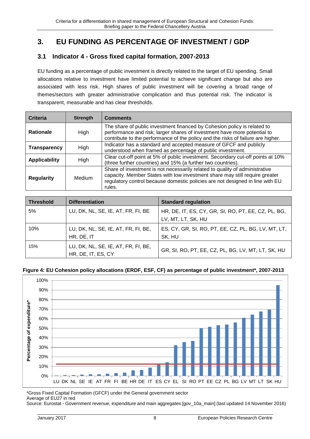## <span id="page-9-0"></span>**3. EU FUNDING AS PERCENTAGE OF INVESTMENT / GDP**

### <span id="page-9-1"></span>**3.1 Indicator 4 - Gross fixed capital formation, 2007-2013**

EU funding as a percentage of public investment is directly related to the target of EU spending. Small allocations relative to investment have limited potential to achieve significant change but also are associated with less risk. High shares of public investment will be covering a broad range of themes/sectors with greater administrative complication and thus potential risk. The indicator is transparent, measurable and has clear thresholds.

| Criteria             | <b>Strength</b> | <b>Comments</b>                                                                                                                                                                                                                                       |
|----------------------|-----------------|-------------------------------------------------------------------------------------------------------------------------------------------------------------------------------------------------------------------------------------------------------|
| <b>Rationale</b>     | High            | The share of public investment financed by Cohesion policy is related to<br>performance and risk; larger shares of investment have more potential to<br>contribute to the performance of the policy and the risks of failure are higher.              |
| Transparency         | High            | Indicator has a standard and accepted measure of GFCF and publicly<br>understood when framed as percentage of public investment.                                                                                                                      |
| <b>Applicability</b> | High            | Clear cut-off point at 5% of public investment. Secondary cut-off points at 10%<br>(three further countries) and 15% (a further two countries).                                                                                                       |
| <b>Regularity</b>    | Medium          | Share of investment is not necessarily related to quality of administrative<br>capacity. Member States with low investment share may still require greater<br>regulatory control because domestic policies are not designed in line with EU<br>rules. |

| <b>Threshold</b> | <b>Differentiation</b>                                    | <b>Standard regulation</b>                                                |
|------------------|-----------------------------------------------------------|---------------------------------------------------------------------------|
| 5%               | LU, DK, NL, SE, IE, AT, FR, FI, BE                        | HR, DE, IT, ES, CY, GR, SI, RO, PT, EE, CZ, PL, BG,<br>LV, MT, LT, SK, HU |
| 10%              | LU, DK, NL, SE, IE, AT, FR, FI, BE,<br>HR, DE, IT         | ES, CY, GR, SI, RO, PT, EE, CZ, PL, BG, LV, MT, LT,<br>SK, HU             |
| 15%              | LU, DK, NL, SE, IE, AT, FR, FI, BE,<br>HR, DE, IT, ES, CY | GR, SI, RO, PT, EE, CZ, PL, BG, LV, MT, LT, SK, HU                        |

#### **Figure 4: EU Cohesion policy allocations (ERDF, ESF, CF) as percentage of public investment\*, 2007-2013**



\*Gross Fixed Capital Formation (GFCF) under the General government sector Average of EU27 in red

Source: Eurostat - Government revenue, expenditure and main aggregates [gov\_10a\_main] (last updated 14 November 2016)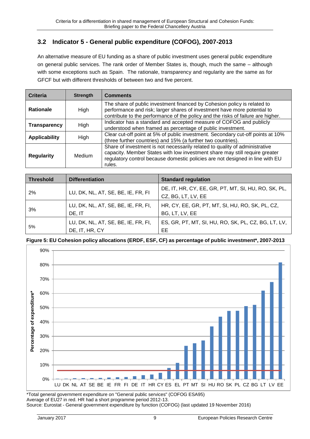## <span id="page-10-0"></span>**3.2 Indicator 5 - General public expenditure (COFOG), 2007-2013**

An alternative measure of EU funding as a share of public investment uses general public expenditure on general public services. The rank order of Member States is, though, much the same – although with some exceptions such as Spain. The rationale, transparency and regularity are the same as for GFCF but with different thresholds of between two and five percent.

| Criteria             | <b>Strength</b> | <b>Comments</b>                                                                                                                                                                                                                                       |
|----------------------|-----------------|-------------------------------------------------------------------------------------------------------------------------------------------------------------------------------------------------------------------------------------------------------|
| <b>Rationale</b>     | High            | The share of public investment financed by Cohesion policy is related to<br>performance and risk; larger shares of investment have more potential to<br>contribute to the performance of the policy and the risks of failure are higher.              |
| Transparency         | High            | Indicator has a standard and accepted measure of COFOG and publicly<br>understood when framed as percentage of public investment.                                                                                                                     |
| <b>Applicability</b> | High            | Clear cut-off point at 5% of public investment. Secondary cut-off points at 10%<br>(three further countries) and 15% (a further two countries).                                                                                                       |
| <b>Regularity</b>    | Medium          | Share of investment is not necessarily related to quality of administrative<br>capacity. Member States with low investment share may still require greater<br>regulatory control because domestic policies are not designed in line with EU<br>rules. |

| <b>Threshold</b> | <b>Differentiation</b>                                | <b>Standard regulation</b>                                                |
|------------------|-------------------------------------------------------|---------------------------------------------------------------------------|
| 2%               | LU, DK, NL, AT, SE, BE, IE, FR, FI                    | DE, IT, HR, CY, EE, GR, PT, MT, SI, HU, RO, SK, PL,<br>CZ, BG, LT, LV, EE |
| 3%               | LU, DK, NL, AT, SE, BE, IE, FR, FI,<br>DE, IT         | HR, CY, EE, GR, PT, MT, SI, HU, RO, SK, PL, CZ,<br>BG, LT, LV, EE         |
| 5%               | LU, DK, NL, AT, SE, BE, IE, FR, FI,<br>DE, IT, HR, CY | ES, GR, PT, MT, SI, HU, RO, SK, PL, CZ, BG, LT, LV,<br>EE                 |

**Figure 5: EU Cohesion policy allocations (ERDF, ESF, CF) as percentage of public investment\*, 2007-2013**



\*Total general government expenditure on "General public services" (COFOG ESA95) Average of EU27 in red. HR had a short programme period 2012-13. Source: Eurostat - General government expenditure by function (COFOG) (last updated 19 November 2016)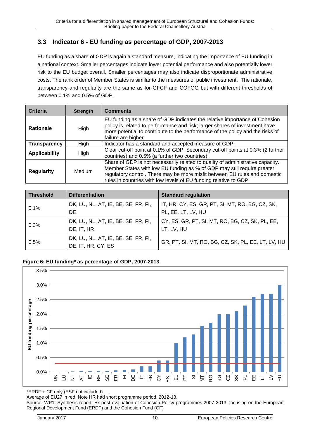## <span id="page-11-0"></span>**3.3 Indicator 6 - EU funding as percentage of GDP, 2007-2013**

EU funding as a share of GDP is again a standard measure, indicating the importance of EU funding in a national context. Smaller percentages indicate lower potential performance and also potentially lower risk to the EU budget overall. Smaller percentages may also indicate disproportionate administrative costs. The rank order of Member States is similar to the measures of public investment. The rationale, transparency and regularity are the same as for GFCF and COFOG but with different thresholds of between 0.1% and 0.5% of GDP.

| Criteria             | <b>Strength</b> | <b>Comments</b>                                                                                                                                                                                                                                                                                              |
|----------------------|-----------------|--------------------------------------------------------------------------------------------------------------------------------------------------------------------------------------------------------------------------------------------------------------------------------------------------------------|
| <b>Rationale</b>     | High            | EU funding as a share of GDP indicates the relative importance of Cohesion<br>policy is related to performance and risk; larger shares of investment have<br>more potential to contribute to the performance of the policy and the risks of<br>failure are higher.                                           |
| <b>Transparency</b>  | High            | Indicator has a standard and accepted measure of GDP.                                                                                                                                                                                                                                                        |
| <b>Applicability</b> | High            | Clear cut-off point at 0.1% of GDP. Secondary cut-off points at 0.3% (2 further<br>countries) and 0.5% (a further two countries).                                                                                                                                                                            |
| <b>Regularity</b>    | Medium          | Share of GDP is not necessarily related to quality of administrative capacity.<br>Member States with low EU funding as % of GDP may still require greater<br>regulatory control. There may be more misfit between EU rules and domestic<br>rules in countries with low levels of EU funding relative to GDP. |

| <b>Threshold</b> | <b>Differentiation</b>                                    | <b>Standard regulation</b>                                            |
|------------------|-----------------------------------------------------------|-----------------------------------------------------------------------|
| 0.1%             | DK, LU, NL, AT, IE, BE, SE, FR, FI,<br>DE.                | IT, HR, CY, ES, GR, PT, SI, MT, RO, BG, CZ, SK,<br>PL, EE, LT, LV, HU |
| 0.3%             | DK, LU, NL, AT, IE, BE, SE, FR, FI,<br>DE, IT, HR         | CY, ES, GR, PT, SI, MT, RO, BG, CZ, SK, PL, EE,<br>LT, LV, HU         |
| 0.5%             | DK, LU, NL, AT, IE, BE, SE, FR, FI,<br>DE, IT, HR, CY, ES | GR, PT, SI, MT, RO, BG, CZ, SK, PL, EE, LT, LV, HU                    |

#### **Figure 6: EU funding\* as percentage of GDP, 2007-2013**



\*ERDF + CF only (ESF not included)

Average of EU27 in red. Note HR had short programme period, 2012-13.

Source: WP1: Synthesis report; Ex post evaluation of Cohesion Policy programmes 2007-2013, focusing on the European Regional Development Fund (ERDF) and the Cohesion Fund (CF)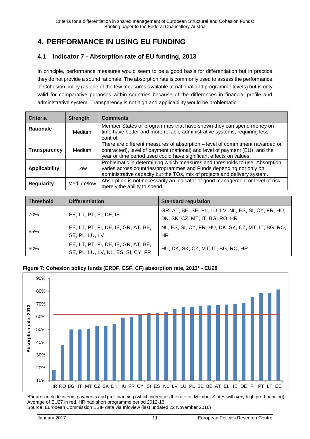# <span id="page-12-0"></span>**4. PERFORMANCE IN USING EU FUNDING**

## <span id="page-12-1"></span>**4.1 Indicator 7 - Absorption rate of EU funding, 2013**

In principle, performance measures would seem to be a good basis for differentiation but in practice they do not provide a sound rationale. The absorption rate is commonly used to assess the performance of Cohesion policy (as one of the few measures available at national and programme levels) but is only valid for comparative purposes within countries because of the differences in financial profile and administrative system. Transparency is not high and applicability would be problematic.

| Criteria             | <b>Strength</b> | <b>Comments</b>                                                                                                                                                                                                                   |
|----------------------|-----------------|-----------------------------------------------------------------------------------------------------------------------------------------------------------------------------------------------------------------------------------|
| <b>Rationale</b>     | Medium          | Member States or programmes that have shown they can spend money on<br>time have better and more reliable administrative systems, requiring less<br>control.                                                                      |
| <b>Transparency</b>  | <b>Medium</b>   | There are different measures of absorption – level of commitment (awarded or<br>contracted), level of payment (national) and level of payment (EU), and the<br>year or time period used could have significant effects on values. |
| <b>Applicability</b> | Low             | Problematic in determining which measures and thresholds to use. Absorption<br>varies across countries/programmes and Funds depending not only on<br>administrative capacity but the TOs, mix of projects and delivery system.    |
| <b>Regularity</b>    | Medium/low      | Absorption is not necessarily an indicator of good management or level of risk -<br>merely the ability to spend.                                                                                                                  |

| <b>Threshold</b> | <b>Differentiation</b>                                                    | <b>Standard regulation</b>                                                            |
|------------------|---------------------------------------------------------------------------|---------------------------------------------------------------------------------------|
| 70%              | EE, LT, PT, FI, DE, IE                                                    | GR, AT, BE, SE, PL, LU, LV, NL, ES, SI, CY, FR, HU,<br>DK, SK, CZ, MT, IT, BG, RO, HR |
| 65%              | EE, LT, PT, FI, DE, IE, GR, AT, BE,<br>SE, PL, LU, LV                     | NL, ES, SI, CY, FR, HU, DK, SK, CZ, MT, IT, BG, RO,<br><b>HR</b>                      |
| 60%              | EE, LT, PT, FI, DE, IE, GR, AT, BE,<br>SE, PL, LU, LV, NL, ES, SI, CY, FR | HU, DK, SK, CZ, MT, IT, BG, RO, HR                                                    |

#### **Figure 7: Cohesion policy funds (ERDF, ESF, CF) absorption rate, 2013\* - EU28**



\*Figures include interim payments and pre-financing (which increases the rate for Member States with very high pre-financing) Average of EU27 in red. HR had short programme period 2012-13.

Source: European Commission ESIF data via Infoview (last updated 22 November 2016)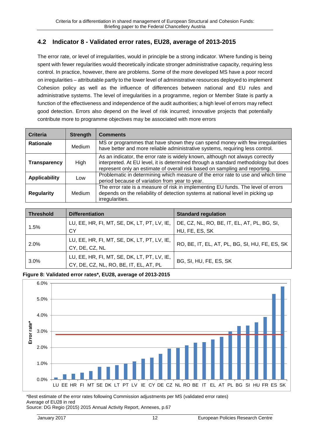## <span id="page-13-0"></span>**4.2 Indicator 8 - Validated error rates, EU28, average of 2013-2015**

The error rate, or level of irregularities, would in principle be a strong indicator. Where funding is being spent with fewer regularities would theoretically indicate stronger administrative capacity, requiring less control. In practice, however, there are problems. Some of the more developed MS have a poor record on irregularities – attributable partly to the lower level of administrative resources deployed to implement Cohesion policy as well as the influence of differences between national and EU rules and administrative systems. The level of irregularities in a programme, region or Member State is partly a function of the effectiveness and independence of the audit authorities; a high level of errors may reflect good detection. Errors also depend on the level of risk incurred; innovative projects that potentially contribute more to programme objectives may be associated with more errors

| <b>Criteria</b>      | <b>Strength</b> | <b>Comments</b>                                                                                                                                                                                                                                     |
|----------------------|-----------------|-----------------------------------------------------------------------------------------------------------------------------------------------------------------------------------------------------------------------------------------------------|
| <b>Rationale</b>     | Medium          | MS or programmes that have shown they can spend money with few irregularities<br>have better and more reliable administrative systems, requiring less control.                                                                                      |
| <b>Transparency</b>  | High            | As an indicator, the error rate is widely known, although not always correctly<br>interpreted. At EU level, it is determined through a standard methodology but does<br>represent only an estimate of overall risk based on sampling and reporting. |
| <b>Applicability</b> | Low             | Problematic in determining which measure of the error rate to use and which time<br>period because of variation from year to year.                                                                                                                  |
| <b>Regularity</b>    | Medium          | The error rate is a measure of risk in implementing EU funds. The level of errors<br>depends on the reliability of detection systems at national level in picking up<br>irregularities.                                                             |

| <b>Threshold</b> | <b>Differentiation</b>                                                                | <b>Standard regulation</b>                                    |
|------------------|---------------------------------------------------------------------------------------|---------------------------------------------------------------|
| 1.5%             | LU, EE, HR, FI, MT, SE, DK, LT, PT, LV, IE,<br>СY                                     | DE, CZ, NL, RO, BE, IT, EL, AT, PL, BG, SI,<br>HU, FE, ES, SK |
| 2.0%             | LU, EE, HR, FI, MT, SE, DK, LT, PT, LV, IE,<br>CY, DE, CZ, NL                         | RO, BE, IT, EL, AT, PL, BG, SI, HU, FE, ES, SK                |
| 3.0%             | LU, EE, HR, FI, MT, SE, DK, LT, PT, LV, IE,<br>CY, DE, CZ, NL, RO, BE, IT, EL, AT, PL | BG, SI, HU, FE, ES, SK                                        |

#### **Figure 8: Validated error rates\*, EU28, average of 2013-2015**



\*Best estimate of the error rates following Commission adjustments per MS (validated error rates) Average of EU28 in red

Source: DG Regio (2015) 2015 Annual Activity Report, Annexes, p.67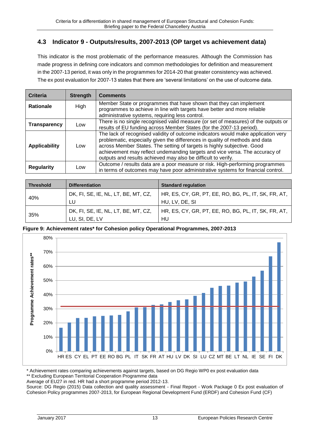## <span id="page-14-0"></span>**4.3 Indicator 9 - Outputs/results, 2007-2013 (OP target vs achievement data)**

This indicator is the most problematic of the performance measures. Although the Commission has made progress in defining core indicators and common methodologies for definition and measurement in the 2007-13 period, it was only in the programmes for 2014-20 that greater consistency was achieved. The ex post evaluation for 2007-13 states that there are 'several limitations' on the use of outcome data.

| Criteria             | <b>Strength</b> | <b>Comments</b>                                                                                                                                                                                                                                                                                                                                                                              |
|----------------------|-----------------|----------------------------------------------------------------------------------------------------------------------------------------------------------------------------------------------------------------------------------------------------------------------------------------------------------------------------------------------------------------------------------------------|
| <b>Rationale</b>     | High            | Member State or programmes that have shown that they can implement<br>programmes to achieve in line with targets have better and more reliable<br>administrative systems, requiring less control.                                                                                                                                                                                            |
| Transparency         | Low             | There is no single recognised valid measure (or set of measures) of the outputs or<br>results of EU funding across Member States (for the 2007-13 period).                                                                                                                                                                                                                                   |
| <b>Applicability</b> | Low             | The lack of recognised validity of outcome indicators would make application very<br>problematic, especially given the differences in quality of methods and data<br>across Member States. The setting of targets is highly subjective. Good<br>achievement may reflect undemanding targets and vice versa. The accuracy of<br>outputs and results achieved may also be difficult to verify. |
| <b>Regularity</b>    | Low             | Outcome / results data are a poor measure or risk. High-performing programmes<br>in terms of outcomes may have poor administrative systems for financial control.                                                                                                                                                                                                                            |

|  | <b>Threshold</b> | <b>Differentiation</b>              | <b>Standard regulation</b>                          |
|--|------------------|-------------------------------------|-----------------------------------------------------|
|  |                  | DK, FI, SE, IE, NL, LT, BE, MT, CZ, | HR, ES, CY, GR, PT, EE, RO, BG, PL, IT, SK, FR, AT, |
|  | 40%              | LU                                  | HU, LV, DE, SI                                      |
|  | 35%              | DK, FI, SE, IE, NL, LT, BE, MT, CZ, | HR, ES, CY, GR, PT, EE, RO, BG, PL, IT, SK, FR, AT, |
|  |                  | LU, SI, DE, LV                      | HU                                                  |

#### **Figure 9: Achievement rates\* for Cohesion policy Operational Programmes, 2007-2013**



\* Achievement rates comparing achievements against targets, based on DG Regio WP0 ex post evaluation data

\*\* Excluding European Territorial Cooperation Programme data

Average of EU27 in red. HR had a short programme period 2012-13.

Source: DG Regio (2015) Data collection and quality assessment - Final Report - Work Package 0 Ex post evaluation of Cohesion Policy programmes 2007-2013, for European Regional Development Fund (ERDF) and Cohesion Fund (CF)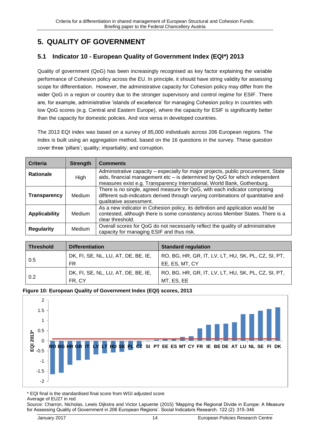# <span id="page-15-0"></span>**5. QUALITY OF GOVERNMENT**

## <span id="page-15-1"></span>**5.1 Indicator 10 - European Quality of Government Index (EQI\*) 2013**

Quality of government (QoG) has been increasingly recognised as key factor explaining the variable performance of Cohesion policy across the EU. In principle, it should have string validity for assessing scope for differentiation. However, the administrative capacity for Cohesion policy may differ from the wider QoG in a region or country due to the stronger supervisory and control regime for ESIF. There are, for example, administrative 'islands of excellence' for managing Cohesion policy in countries with low QoG scores (e.g. Central and Eastern Europe), where the capacity for ESIF is significantly better than the capacity for domestic policies. And vice versa in developed countries.

The 2013 EQI index was based on a survey of 85,000 individuals across 206 European regions. The index is built using an aggregation method, based on the 16 questions in the survey. These question cover three 'pillars'; quality; impartiality; and corruption.

| Criteria             | <b>Strength</b> | <b>Comments</b>                                                                                                                                                                                                                              |
|----------------------|-----------------|----------------------------------------------------------------------------------------------------------------------------------------------------------------------------------------------------------------------------------------------|
| <b>Rationale</b>     | High            | Administrative capacity – especially for major projects, public procurement, State<br>aids, financial management etc - is determined by QoG for which independent<br>measures exist e.g. Transparency International, World Bank, Gothenburg. |
| <b>Transparency</b>  | Medium          | There is no single, agreed measure for QoG, with each indicator comprising<br>different sub-indicators derived through varying combinations of quantitative and<br>qualitative assessment.                                                   |
| <b>Applicability</b> | Medium          | As a new indicator in Cohesion policy, its definition and application would be<br>contested, although there is some consistency across Member States. There is a<br>clear threshold.                                                         |
| <b>Regularity</b>    | Medium          | Overall scores for QoG do not necessarily reflect the quality of administrative<br>capacity for managing ESIF and thus risk.                                                                                                                 |

| <b>Threshold</b> | <b>Differentiation</b>                        | <b>Standard regulation</b>                                            |
|------------------|-----------------------------------------------|-----------------------------------------------------------------------|
| 0.5              | DK, FI, SE, NL, LU, AT, DE, BE, IE,<br>FR     | RO, BG, HR, GR, IT, LV, LT, HU, SK, PL, CZ, SI, PT,<br>EE, ES, MT, CY |
| 0.2              | DK, FI, SE, NL, LU, AT, DE, BE, IE,<br>FR. CY | RO, BG, HR, GR, IT, LV, LT, HU, SK, PL, CZ, SI, PT,<br>MT, ES, EE     |

#### **Figure 10: European Quality of Government Index (EQI) scores, 2013**



\* EQI final is the standardised final score from WGI adjusted score Average of EU27 in red

Source: Charron, Nicholas, Lewis Dijkstra and Victor Lapuente (2015) 'Mapping the Regional Divide in Europe: A Measure for Assessing Quality of Government in 206 European Regions'. Social Indicators Research. 122 (2): 315-346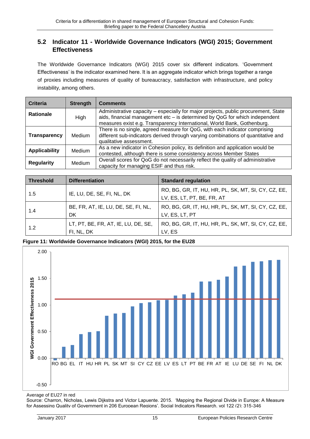### <span id="page-16-0"></span>**5.2 Indicator 11 - Worldwide Governance Indicators (WGI) 2015; Government Effectiveness**

The Worldwide Governance Indicators (WGI) 2015 cover six different indicators. 'Government Effectiveness' is the indicator examined here. It is an aggregate indicator which brings together a range of proxies including measures of quality of bureaucracy, satisfaction with infrastructure, and policy instability, among others.

| <b>Criteria</b>      | <b>Strength</b> | <b>Comments</b>                                                                                                                                                                                                                              |
|----------------------|-----------------|----------------------------------------------------------------------------------------------------------------------------------------------------------------------------------------------------------------------------------------------|
| <b>Rationale</b>     | High            | Administrative capacity – especially for major projects, public procurement, State<br>aids, financial management etc – is determined by QoG for which independent<br>measures exist e.g. Transparency International, World Bank, Gothenburg. |
| <b>Transparency</b>  | <b>Medium</b>   | There is no single, agreed measure for QoG, with each indicator comprising<br>different sub-indicators derived through varying combinations of quantitative and<br>qualitative assessment.                                                   |
| <b>Applicability</b> | <b>Medium</b>   | As a new indicator in Cohesion policy, its definition and application would be<br>contested, although there is some consistency across Member States                                                                                         |
| <b>Regularity</b>    | Medium          | Overall scores for QoG do not necessarily reflect the quality of administrative<br>capacity for managing ESIF and thus risk.                                                                                                                 |

| <b>Threshold</b> | <b>Differentiation</b>                            | <b>Standard regulation</b>                                                        |
|------------------|---------------------------------------------------|-----------------------------------------------------------------------------------|
| 1.5              | IE, LU, DE, SE, FI, NL, DK                        | RO, BG, GR, IT, HU, HR, PL, SK, MT, SI, CY, CZ, EE,<br>LV, ES, LT, PT, BE, FR, AT |
| 1.4              | BE, FR, AT, IE, LU, DE, SE, FI, NL,<br>DK         | RO, BG, GR, IT, HU, HR, PL, SK, MT, SI, CY, CZ, EE,<br>LV, ES, LT, PT             |
| 1.2              | LT, PT, BE, FR, AT, IE, LU, DE, SE,<br>FI, NL, DK | RO, BG, GR, IT, HU, HR, PL, SK, MT, SI, CY, CZ, EE,<br>LV, ES                     |

**Figure 11: Worldwide Governance Indicators (WGI) 2015, for the EU28**



Average of EU27 in red

Source: Charron, Nicholas, Lewis Dijkstra and Victor Lapuente. 2015. 'Mapping the Regional Divide in Europe: A Measure for Assessing Quality of Government in 206 European Regions'. Social Indicators Research. vol 122 (2): 315-346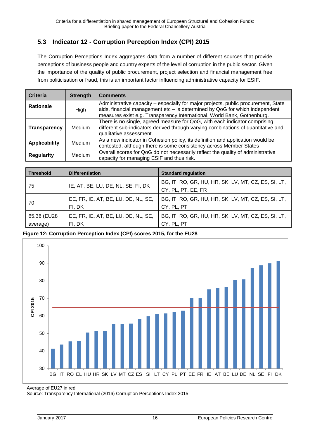## <span id="page-17-0"></span>**5.3 Indicator 12 - Corruption Perception Index (CPI) 2015**

The Corruption Perceptions Index aggregates data from a number of different sources that provide perceptions of business people and country experts of the level of corruption in the public sector. Given the importance of the quality of public procurement, project selection and financial management free from politicisation or fraud, this is an important factor influencing administrative capacity for ESIF.

| Criteria             | <b>Strength</b> | <b>Comments</b>                                                                                                                                                                                                                              |
|----------------------|-----------------|----------------------------------------------------------------------------------------------------------------------------------------------------------------------------------------------------------------------------------------------|
| <b>Rationale</b>     | High            | Administrative capacity - especially for major projects, public procurement, State<br>aids, financial management etc - is determined by QoG for which independent<br>measures exist e.g. Transparency International, World Bank, Gothenburg. |
| <b>Transparency</b>  | Medium          | There is no single, agreed measure for QoG, with each indicator comprising<br>different sub-indicators derived through varying combinations of quantitative and<br>qualitative assessment.                                                   |
| <b>Applicability</b> | <b>Medium</b>   | As a new indicator in Cohesion policy, its definition and application would be<br>contested, although there is some consistency across Member States                                                                                         |
| <b>Regularity</b>    | <b>Medium</b>   | Overall scores for QoG do not necessarily reflect the quality of administrative<br>capacity for managing ESIF and thus risk.                                                                                                                 |

| <b>Threshold</b>        | <b>Differentiation</b>                        | <b>Standard regulation</b>                                                |
|-------------------------|-----------------------------------------------|---------------------------------------------------------------------------|
| -75                     | IE, AT, BE, LU, DE, NL, SE, FI, DK            | BG, IT, RO, GR, HU, HR, SK, LV, MT, CZ, ES, SI, LT,<br>CY, PL, PT, EE, FR |
| 70                      | EE, FR, IE, AT, BE, LU, DE, NL, SE,<br>FI, DK | BG, IT, RO, GR, HU, HR, SK, LV, MT, CZ, ES, SI, LT,<br>CY, PL, PT         |
| 65.36 (EU28<br>average) | EE, FR, IE, AT, BE, LU, DE, NL, SE,<br>FI, DK | BG, IT, RO, GR, HU, HR, SK, LV, MT, CZ, ES, SI, LT,<br>CY, PL, PT         |

**Figure 12: Corruption Perception Index (CPI) scores 2015, for the EU28**



Average of EU27 in red

Source: Transparency International (2016) Corruption Perceptions Index 2015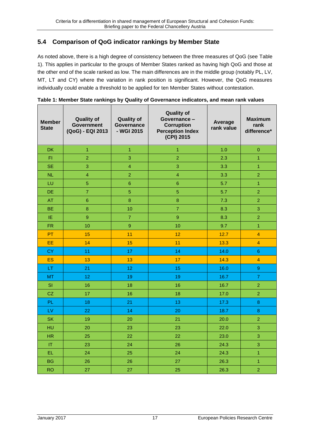## <span id="page-18-0"></span>**5.4 Comparison of QoG indicator rankings by Member State**

As noted above, there is a high degree of consistency between the three measures of QoG (see [Table](#page-18-1)  [1\)](#page-18-1). This applies in particular to the groups of Member States ranked as having high QoG and those at the other end of the scale ranked as low. The main differences are in the middle group (notably PL, LV, MT, LT and CY) where the variation in rank position is significant. However, the QoG measures individually could enable a threshold to be applied for ten Member States without contestation.

| <b>Member</b><br><b>State</b> | <b>Quality of</b><br><b>Government</b><br>(QoG) - EQI 2013 | <b>Quality of</b><br><b>Quality of</b><br>Governance-<br><b>Governance</b><br><b>Corruption</b><br>- WGI 2015<br><b>Perception Index</b><br>(CPI) 2015 |                         | Average<br>rank value | <b>Maximum</b><br>rank<br>difference* |
|-------------------------------|------------------------------------------------------------|--------------------------------------------------------------------------------------------------------------------------------------------------------|-------------------------|-----------------------|---------------------------------------|
| <b>DK</b>                     | 1                                                          | $\overline{1}$                                                                                                                                         | $\mathbf{1}$            | 1.0                   | $\pmb{0}$                             |
| FI                            | $\overline{2}$                                             | 3                                                                                                                                                      | $\overline{2}$          | 2.3                   | $\overline{1}$                        |
| <b>SE</b>                     | 3                                                          | $\overline{\mathbf{4}}$                                                                                                                                | 3                       | 3.3                   | $\overline{1}$                        |
| <b>NL</b>                     | $\overline{\mathbf{4}}$                                    | $\overline{a}$                                                                                                                                         | $\overline{\mathbf{4}}$ | 3.3                   | $\overline{2}$                        |
| LU                            | $\overline{5}$                                             | $6\phantom{a}$                                                                                                                                         | 6                       | 5.7                   | $\overline{1}$                        |
| DE                            | $\overline{7}$                                             | $\overline{5}$                                                                                                                                         | 5                       | 5.7                   | $\overline{a}$                        |
| AT                            | $6\phantom{1}$                                             | $\overline{8}$                                                                                                                                         | $\overline{8}$          | 7.3                   | $\overline{2}$                        |
| <b>BE</b>                     | $\bf 8$                                                    | 10                                                                                                                                                     | $\overline{7}$          | 8.3                   | 3                                     |
| ΙE                            | $\overline{9}$                                             | $\overline{7}$                                                                                                                                         | $\overline{9}$          | 8.3                   | $\overline{2}$                        |
| <b>FR</b>                     | 10                                                         | $\overline{9}$                                                                                                                                         | 10                      | 9.7                   | $\overline{1}$                        |
| PT                            | 15                                                         | 11                                                                                                                                                     | 12                      | 12.7                  | $\overline{4}$                        |
| EE                            | 14                                                         | 15                                                                                                                                                     | 11                      | 13.3                  | $\overline{4}$                        |
| <b>CY</b>                     | 11                                                         | 17                                                                                                                                                     | 14                      | 14.0                  | 6                                     |
| <b>ES</b>                     | 13                                                         | 13                                                                                                                                                     | 17                      | 14.3                  | $\overline{4}$                        |
| LT                            | 21                                                         | 12                                                                                                                                                     | 15                      | 16.0                  | $\boldsymbol{9}$                      |
| MT                            | 12                                                         | 19                                                                                                                                                     | 19                      | 16.7                  | $\overline{7}$                        |
| SI                            | 16                                                         | 18                                                                                                                                                     | 16                      | 16.7                  | $\overline{a}$                        |
| CZ                            | 17                                                         | 16                                                                                                                                                     | 18                      | 17.0                  | $\overline{2}$                        |
| PL                            | 18                                                         | 21                                                                                                                                                     | 13                      | 17.3                  | $\bf{8}$                              |
| LV                            | 22                                                         | 14                                                                                                                                                     | 20                      | 18.7                  | $\bf 8$                               |
| <b>SK</b>                     | 19                                                         | 20                                                                                                                                                     | 21                      | 20.0                  | $\overline{2}$                        |
| HU                            | 20                                                         | 23                                                                                                                                                     | 23                      | 22.0                  | 3                                     |
| <b>HR</b>                     | 25                                                         | 22                                                                                                                                                     | 22                      | 23.0                  | 3                                     |
| IT                            | 23                                                         | 24                                                                                                                                                     | 26                      | 24.3                  | 3                                     |
| EL                            | 24                                                         | 25                                                                                                                                                     | 24                      | 24.3                  | $\overline{1}$                        |
| <b>BG</b>                     | 26                                                         | 26                                                                                                                                                     | 27                      | 26.3                  | $\overline{1}$                        |
| <b>RO</b>                     | 27                                                         | 27                                                                                                                                                     | 25                      | 26.3                  | $\overline{2}$                        |

<span id="page-18-1"></span>

|  | Table 1: Member State rankings by Quality of Governance indicators, and mean rank values |  |
|--|------------------------------------------------------------------------------------------|--|
|  |                                                                                          |  |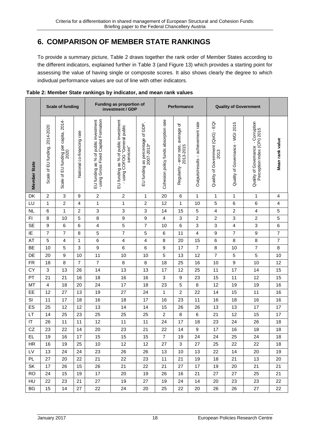## <span id="page-19-0"></span>**6. COMPARISON OF MEMBER STATE RANKINGS**

To provide a summary picture, [Table 2](#page-19-1) draws together the rank order of Member States according to the different indicators, explained further in [Table 3](#page-20-0) (and [Figure 13\)](#page-20-1) which provides a starting point for assessing the value of having single or composite scores. It also shows clearly the degree to which indivdual performance values are out of line with other indicators.

|              | <b>Scale of funding</b>        |                                               |                            | Funding as proportion of<br>investment / GDP                                |                                                                                    | Performance                                    |                                       | <b>Quality of Government</b>                             |                                    |                                                 |                                  |                                                                                          |                          |
|--------------|--------------------------------|-----------------------------------------------|----------------------------|-----------------------------------------------------------------------------|------------------------------------------------------------------------------------|------------------------------------------------|---------------------------------------|----------------------------------------------------------|------------------------------------|-------------------------------------------------|----------------------------------|------------------------------------------------------------------------------------------|--------------------------|
| Member State | Scale of EU funding, 2014-2020 | Scale of EU funding per capita, 2014-<br>2020 | National co-financing rate | using Gross Fixed Capital Formation<br>EU funding as % of public investment | EU funding as % of public investment<br>- using COFOG "General public<br>services" | EU funding as percentage of GDP,<br>2007-2013* | Cohesion policy funds absorption rate | ৳<br>average<br>- error rate,<br>2013-2015<br>Regularity | Outputs/results - achievement rate | <b>G</b><br>Quality of Government (QoG)<br>2013 | Quality of Governance - WGI 2015 | ality of Governance - Corruption<br>Perception Index (CPI) 2015<br>Quality of Governance | Mean rank value          |
| DK           | $\overline{c}$                 | 3                                             | 9                          | $\boldsymbol{2}$                                                            | $\overline{c}$                                                                     | 1                                              | 20                                    | 6                                                        | 1                                  | 1                                               | 1                                | 1                                                                                        | 4                        |
| LU           | $\mathbf{1}$                   | $\overline{c}$                                | 4                          | $\mathbf{1}$                                                                | 1                                                                                  | 2                                              | 12                                    | 1                                                        | 10                                 | 5                                               | 6                                | $\,6$                                                                                    | 4                        |
| <b>NL</b>    | 6                              | 1                                             | $\overline{c}$             | $\,$ 3 $\,$                                                                 | $\ensuremath{\mathsf{3}}$                                                          | 3                                              | 14                                    | 15                                                       | 5                                  | 4                                               | $\overline{c}$                   | $\overline{\mathbf{4}}$                                                                  | 5                        |
| F1           | 8                              | 10                                            | 5                          | $\bf8$                                                                      | 9                                                                                  | 9                                              | $\overline{\mathbf{4}}$               | 3                                                        | $\overline{c}$                     | $\overline{c}$                                  | 3                                | $\overline{c}$                                                                           | 5                        |
| <b>SE</b>    | 9                              | 6                                             | 6                          | 4                                                                           | $\sqrt{5}$                                                                         | $\overline{7}$                                 | 10                                    | 6                                                        | 3                                  | 3                                               | $\overline{4}$                   | 3                                                                                        | 6                        |
| IE           | $\overline{7}$                 | $\overline{7}$                                | 8                          | 5                                                                           | $\overline{\mathbf{7}}$                                                            | 5                                              | 6                                     | 11                                                       | 4                                  | 9                                               | $\overline{7}$                   | $\boldsymbol{9}$                                                                         | $\overline{\mathcal{I}}$ |
| AT           | 5                              | $\overline{\mathbf{4}}$                       | 1                          | 6                                                                           | $\overline{\mathbf{4}}$                                                            | 4                                              | 8                                     | 20                                                       | 15                                 | 6                                               | 8                                | 8                                                                                        | $\overline{7}$           |
| BE           | 10                             | 5                                             | 3                          | 9                                                                           | $\,6$                                                                              | 6                                              | 9                                     | 17                                                       | $\overline{7}$                     | 8                                               | 10                               | $\boldsymbol{7}$                                                                         | 8                        |
| DE           | 20                             | 9                                             | 10                         | 11                                                                          | 10                                                                                 | 10                                             | 5                                     | 13                                                       | 12                                 | 7                                               | 5                                | 5                                                                                        | 10                       |
| <b>FR</b>    | 18                             | 8                                             | $\overline{7}$             | $\overline{7}$                                                              | 8                                                                                  | 8                                              | 18                                    | 25                                                       | 16                                 | 10                                              | 9                                | 10                                                                                       | 12                       |
| <b>CY</b>    | $\ensuremath{\mathsf{3}}$      | 13                                            | 26                         | 14                                                                          | 13                                                                                 | 13                                             | 17                                    | 12                                                       | 25                                 | 11                                              | 17                               | 14                                                                                       | 15                       |
| PT           | 21                             | 21                                            | 16                         | 18                                                                          | 16                                                                                 | 16                                             | 3                                     | 9                                                        | 23                                 | 15                                              | 11                               | 12                                                                                       | 15                       |
| MT           | $\overline{\mathbf{4}}$        | 18                                            | 20                         | 24                                                                          | 17                                                                                 | 18                                             | 23                                    | 5                                                        | 8                                  | 12                                              | 19                               | 19                                                                                       | 16                       |
| EE           | 12                             | 27                                            | 13                         | 19                                                                          | 27                                                                                 | 24                                             | 1                                     | $\overline{c}$                                           | 22                                 | 14                                              | 15                               | 11                                                                                       | 16                       |
| SI           | 11                             | 17                                            | 18                         | 16                                                                          | 18                                                                                 | 17                                             | 16                                    | 23                                                       | 11                                 | 16                                              | 18                               | 16                                                                                       | 16                       |
| ES           | 25                             | 12                                            | 12                         | 13                                                                          | 14                                                                                 | 14                                             | 15                                    | 26                                                       | 26                                 | 13                                              | 13                               | 17                                                                                       | 17                       |
| LT           | 14                             | 25                                            | 23                         | 25                                                                          | 25                                                                                 | 25                                             | $\overline{c}$                        | 8                                                        | 6                                  | 21                                              | 12                               | 15                                                                                       | 17                       |
| $\sf IT$     | 26                             | 11                                            | 11                         | 12                                                                          | 11                                                                                 | 11                                             | 24                                    | 17                                                       | 18                                 | 23                                              | 24                               | 26                                                                                       | 18                       |
| CZ           | 23                             | 22                                            | 14                         | 20                                                                          | 23                                                                                 | 21                                             | 22                                    | 14                                                       | 9                                  | 17                                              | 16                               | 18                                                                                       | 18                       |
| <b>EL</b>    | 19                             | 16                                            | 17                         | 15                                                                          | 15                                                                                 | 15                                             | $\overline{7}$                        | 19                                                       | 24                                 | 24                                              | 25                               | 24                                                                                       | 18                       |
| <b>HR</b>    | 16                             | 19                                            | 25                         | 10                                                                          | 12                                                                                 | 12                                             | 27                                    | 3                                                        | 27                                 | 25                                              | 22                               | 22                                                                                       | 18                       |
| LV           | 13                             | 24                                            | 24                         | 23                                                                          | 26                                                                                 | 26                                             | 13                                    | 10                                                       | 13                                 | 22                                              | 14                               | 20                                                                                       | 19                       |
| PL.          | 27                             | 20                                            | 22                         | 21                                                                          | 22                                                                                 | 23                                             | 11                                    | 21                                                       | 19                                 | 18                                              | 21                               | 13                                                                                       | 20                       |
| SK           | 17                             | 26                                            | 15                         | 26                                                                          | 21                                                                                 | 22                                             | 21                                    | 27                                                       | 17                                 | 19                                              | 20                               | 21                                                                                       | 21                       |
| <b>RO</b>    | 24                             | 15                                            | 19                         | 17                                                                          | 20                                                                                 | 19                                             | 26                                    | 16                                                       | 21                                 | 27                                              | 27                               | 25                                                                                       | 21                       |
| HU           | 22                             | 23                                            | 21                         | 27                                                                          | 19                                                                                 | 27                                             | 19                                    | 24                                                       | 14                                 | 20                                              | 23                               | 23                                                                                       | 22                       |
| BG           | 15                             | 14                                            | 27                         | 22                                                                          | 24                                                                                 | 20                                             | 25                                    | 22                                                       | 20                                 | 26                                              | 26                               | 27                                                                                       | 22                       |

#### <span id="page-19-1"></span>**Table 2: Member State rankings by indicator, and mean rank values**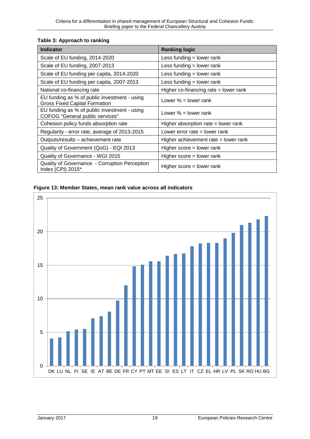#### <span id="page-20-0"></span>**Table 3: Approach to ranking**

| <b>Indicator</b>                                                                       | <b>Ranking logic</b>                    |
|----------------------------------------------------------------------------------------|-----------------------------------------|
| Scale of EU funding, 2014-2020                                                         | Less funding $=$ lower rank             |
| Scale of EU funding, 2007-2013                                                         | Less funding $=$ lower rank             |
| Scale of EU funding per capita, 2014-2020                                              | Less funding $=$ lower rank             |
| Scale of EU funding per capita, 2007-2013                                              | Less funding $=$ lower rank             |
| National co-financing rate                                                             | Higher co-financing rate $=$ lower rank |
| EU funding as % of public investment - using<br><b>Gross Fixed Capital Formation</b>   | Lower $\%$ = lower rank                 |
| EU funding as % of public investment - using<br><b>COFOG</b> "General public services" | Lower $\%$ = lower rank                 |
| Cohesion policy funds absorption rate                                                  | Higher absorption rate $=$ lower rank   |
| Regularity - error rate, average of 2013-2015                                          | Lower error rate $=$ lower rank         |
| Outputs/results - achievement rate                                                     | Higher achievement rate $=$ lower rank  |
| Quality of Government (QoG) - EQI 2013                                                 | Higher score $=$ lower rank             |
| Quality of Governance - WGI 2015                                                       | Higher score $=$ lower rank             |
| Quality of Governance - Corruption Perception<br>Index (CPI) 2015*                     | Higher score = lower rank               |

#### <span id="page-20-1"></span>**Figure 13: Member States, mean rank value across all indicators**

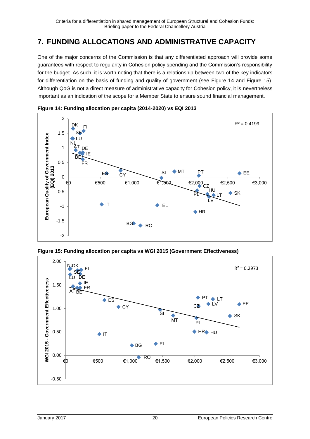## <span id="page-21-0"></span>**7. FUNDING ALLOCATIONS AND ADMINISTRATIVE CAPACITY**

One of the major concerns of the Commission is that any differentiated approach will provide some guarantees with respect to regularity in Cohesion policy spending and the Commission's responsibility for the budget. As such, it is worth noting that there is a relationship between two of the key indicators for differentiation on the basis of funding and quality of government (see [Figure 14](#page-21-1) and [Figure 15\)](#page-21-2). Although QoG is not a direct measure of administrative capacity for Cohesion policy, it is nevertheless important as an indication of the scope for a Member State to ensure sound financial management.



<span id="page-21-1"></span>

<span id="page-21-2"></span>

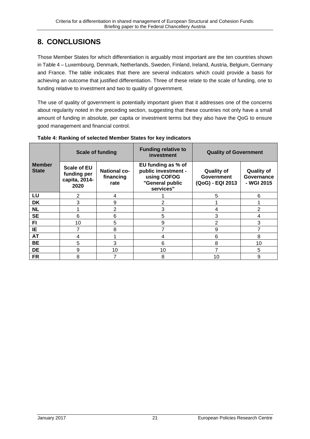# <span id="page-22-0"></span>**8. CONCLUSIONS**

Those Member States for which differentiation is arguably most important are the ten countries shown in [Table 4](#page-22-1) – Luxembourg, Denmark, Netherlands, Sweden, Finland, Ireland, Austria, Belgium, Germany and France. The table indicates that there are several indicators which could provide a basis for achieving an outcome that justified differentiation. Three of these relate to the scale of funding, one to funding relative to investment and two to quality of government.

The use of quality of government is potentially important given that it addresses one of the concerns about regularity noted in the preceding section, suggesting that these countries not only have a small amount of funding in absolute, per capita or investment terms but they also have the QoG to ensure good management and financial control.

|                               | <b>Scale of funding</b>                                    |                                          | <b>Funding relative to</b><br>investment                                                 | <b>Quality of Government</b>                               |                                               |  |
|-------------------------------|------------------------------------------------------------|------------------------------------------|------------------------------------------------------------------------------------------|------------------------------------------------------------|-----------------------------------------------|--|
| <b>Member</b><br><b>State</b> | <b>Scale of EU</b><br>funding per<br>capita, 2014-<br>2020 | <b>National co-</b><br>financing<br>rate | EU funding as % of<br>public investment -<br>using COFOG<br>"General public<br>services" | <b>Quality of</b><br><b>Government</b><br>(QoG) - EQI 2013 | <b>Quality of</b><br>Governance<br>- WGI 2015 |  |
| LU                            | 2                                                          | 4                                        |                                                                                          | 5                                                          | 6                                             |  |
| <b>DK</b>                     | 3                                                          | 9                                        | $\overline{2}$                                                                           |                                                            |                                               |  |
| <b>NL</b>                     |                                                            | 2                                        | 3                                                                                        | 4                                                          | 2                                             |  |
| <b>SE</b>                     | 6                                                          | 6                                        | 5                                                                                        | 3                                                          |                                               |  |
| F1                            | 10                                                         | 5                                        | 9                                                                                        | 2                                                          | 3                                             |  |
| ΙE                            | 7                                                          | 8                                        | 7                                                                                        | 9                                                          |                                               |  |
| <b>AT</b>                     | 4                                                          |                                          | 4                                                                                        | 6                                                          | 8                                             |  |
| <b>BE</b>                     | 5                                                          | 3                                        | 6                                                                                        | 8                                                          | 10                                            |  |
| <b>DE</b>                     | 9                                                          | 10                                       | 10                                                                                       | 7                                                          | 5                                             |  |
| <b>FR</b>                     | 8                                                          |                                          | 8                                                                                        | 10                                                         | 9                                             |  |

<span id="page-22-1"></span>**Table 4: Ranking of selected Member States for key indicators**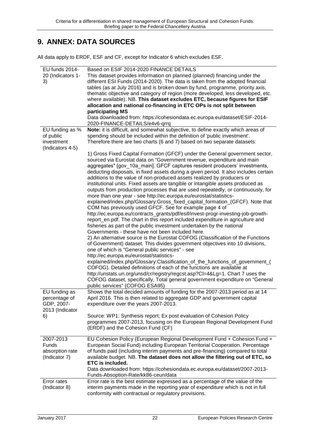# <span id="page-23-0"></span>**9. ANNEX: DATA SOURCES**

All data apply to ERDF, ESF and CF, except for Indicator 6 which excludes ESF.

| EU funds 2014-    | Based on ESIF 2014-2020 FINANCE DETAILS                                              |
|-------------------|--------------------------------------------------------------------------------------|
| 20 (Indicators 1- | This dataset provides information on planned (planned) financing under the           |
| 3)                | different ESI Funds (2014-2020). The data is taken from the adopted financial        |
|                   | tables (as at July 2016) and is broken down by fund, programme, priority axis,       |
|                   | thematic objective and category of region (more developed, less developed, etc.      |
|                   | where available). NB. This dataset excludes ETC, because figures for ESIF            |
|                   | allocation and national co-financing in ETC OPs is not split between                 |
|                   | participating MS                                                                     |
|                   | Data downloaded from: https://cohesiondata.ec.europa.eu/dataset/ESIF-2014-           |
|                   | 2020-FINANCE-DETAILS/e4v6-qrrq                                                       |
| EU funding as %   | Note: it is difficult, and somewhat subjective, to define exactly which areas of     |
| of public         | spending should be included within the definition of 'public investment'.            |
| investment        | Therefore there are two charts (6 and 7) based on two separate datasets:             |
| (Indicators 4-5)  |                                                                                      |
|                   | 1) Gross Fixed Capital Formation (GFCF) under the General government sector,         |
|                   | sourced via Eurostat data on "Government revenue, expenditure and main               |
|                   | aggregates" [gov_10a_main]. GFCF captures resident producers' investments,           |
|                   | deducting disposals, in fixed assets during a given period. It also includes certain |
|                   | additions to the value of non-produced assets realized by producers or               |
|                   | institutional units. Fixed assets are tangible or intangible assets produced as      |
|                   | outputs from production processes that are used repeatedly, or continuously, for     |
|                   | more than one year - see http://ec.europa.eu/eurostat/statistics-                    |
|                   | explained/index.php/Glossary:Gross_fixed_capital_formation_(GFCF). Note that         |
|                   | COM has previously used GFCF. See for example page 4 of                              |
|                   | http://ec.europa.eu/contracts_grants/pdf/esif/invest-progr-investing-job-growth-     |
|                   | report_en.pdf. The chart in this report included expenditure in agriculture and      |
|                   | fisheries as part of the public investment undertaken by the national                |
|                   | Governments - these have not been included here.                                     |
|                   | 2) An alternative source is the Eurostat COFOG (Classification of the Functions      |
|                   | of Government) dataset. This divides government objectives into 10 divisions,        |
|                   | one of which is "General public services" - see                                      |
|                   | http://ec.europa.eu/eurostat/statistics-                                             |
|                   | explained/index.php/Glossary:Classification_of_the_functions_of_government_(         |
|                   | COFOG). Detailed definitions of each of the functions are available at               |
|                   | http://unstats.un.org/unsd/cr/registry/regcst.asp?CI=4&Lg=1. Chart 7 uses the        |
|                   | COFOG dataset, specifically, Total general government expenditure on "General        |
|                   | public services" (COFOG ESA95)                                                       |
| EU funding as     | Shows the total decided amounts of funding for the 2007-2013 period as at 14         |
| percentage of     | April 2016. This is then related to aggregate GDP and government capital             |
| GDP, 2007-        | expenditure over the years 2007-2013.                                                |
| 2013 (Indicator   |                                                                                      |
| 6)                | Source: WP1: Synthesis report; Ex post evaluation of Cohesion Policy                 |
|                   | programmes 2007-2013, focusing on the European Regional Development Fund             |
|                   | (ERDF) and the Cohesion Fund (CF)                                                    |
|                   |                                                                                      |
| 2007-2013         | EU Cohesion Policy (European Regional Development Fund + Cohesion Fund +             |
| Funds             | European Social Fund) including European Territorial Cooperation. Percentage         |
| absorption rate   | of funds paid (including interim payments and pre-financing) compared to total       |
| (Indicator 7)     | available budget. NB. The dataset does not allow the filtering out of ETC, so        |
|                   | ETC is included.                                                                     |
|                   | Data downloaded from: https://cohesiondata.ec.europa.eu/dataset/2007-2013-           |
|                   | Funds-Absoption-Rate/kk86-ceun/data                                                  |
| Error rates       | Error rate is the best estimate expressed as a percentage of the value of the        |
| (Indicator 8)     | interim payments made in the reporting year of expenditure which is not in full      |
|                   | conformity with contractual or regulatory provisions.                                |